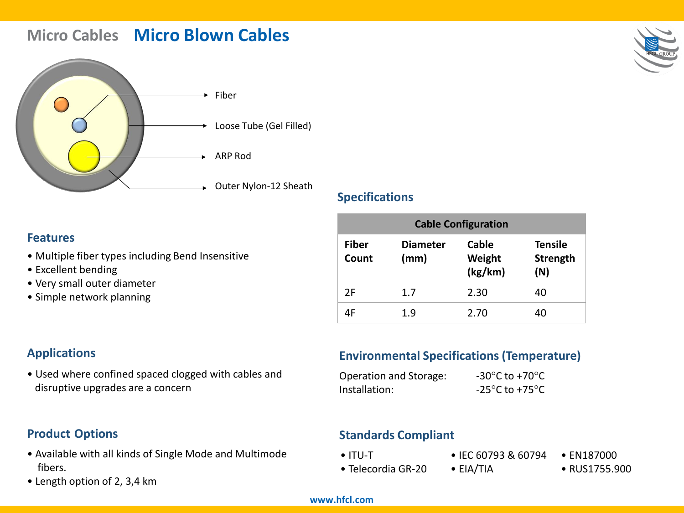# **Micro Cables Micro Blown Cables**



### **Specifications**

# **Features**

- Multiple fiber types including Bend Insensitive
- Excellent bending
- Very small outer diameter
- Simple network planning

| <b>Cable Configuration</b> |                         |                            |                                   |
|----------------------------|-------------------------|----------------------------|-----------------------------------|
| <b>Fiber</b><br>Count      | <b>Diameter</b><br>(mm) | Cable<br>Weight<br>(kg/km) | <b>Tensile</b><br>Strength<br>(N) |
| 2F                         | 1.7                     | 2.30                       | 40                                |
| ΔF                         | 1.9                     | 2.70                       | 40                                |

# **Applications**

• Used where confined spaced clogged with cables and disruptive upgrades are a concern

# **Environmental Specifications (Temperature)**

| Operation and Storage: | -30 $\mathrm{^{\circ}C}$ to +70 $\mathrm{^{\circ}C}$ |
|------------------------|------------------------------------------------------|
| Installation:          | -25 $\mathrm{^{\circ}C}$ to +75 $\mathrm{^{\circ}C}$ |

# **Product Options**

- Available with all kinds of Single Mode and Multimode fibers.
- Length option of 2, 3,4 km

# **Standards Compliant**

- ITU-T
- EIA/TIA
- Telecordia GR-20
- IEC 60793 & 60794 EN187000
	- RUS1755.900

#### **www.hfcl.com**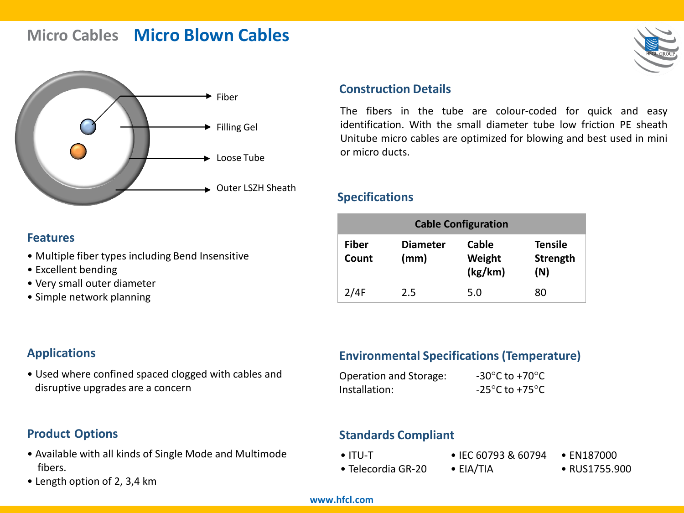# **Micro Cables Micro Blown Cables**



### **Construction Details**

The fibers in the tube are colour-coded for quick and easy identification. With the small diameter tube low friction PE sheath Unitube micro cables are optimized for blowing and best used in mini or micro ducts.

### **Specifications**

| <b>Cable Configuration</b> |                       |                         |                            |                                   |
|----------------------------|-----------------------|-------------------------|----------------------------|-----------------------------------|
|                            | <b>Fiber</b><br>Count | <b>Diameter</b><br>(mm) | Cable<br>Weight<br>(kg/km) | <b>Tensile</b><br>Strength<br>(N) |
|                            | 2/4F                  | 2.5                     | 5.0                        | 80                                |

### **Features**

- Multiple fiber types including Bend Insensitive
- Excellent bending
- Very small outer diameter
- Simple network planning

# **Applications**

• Used where confined spaced clogged with cables and disruptive upgrades are a concern

# **Environmental Specifications (Temperature)**

| Operation and Storage: | -30 $\degree$ C to +70 $\degree$ C  |
|------------------------|-------------------------------------|
| Installation:          | $-25^{\circ}$ C to +75 $^{\circ}$ C |

# **Product Options**

- Available with all kinds of Single Mode and Multimode fibers.
- Length option of 2, 3,4 km

# **Standards Compliant**

- ITU-T
- IEC 60793 & 60794
- Telecordia GR-20 • EIA/TIA

• EN187000 • RUS1755.900

#### **www.hfcl.com**